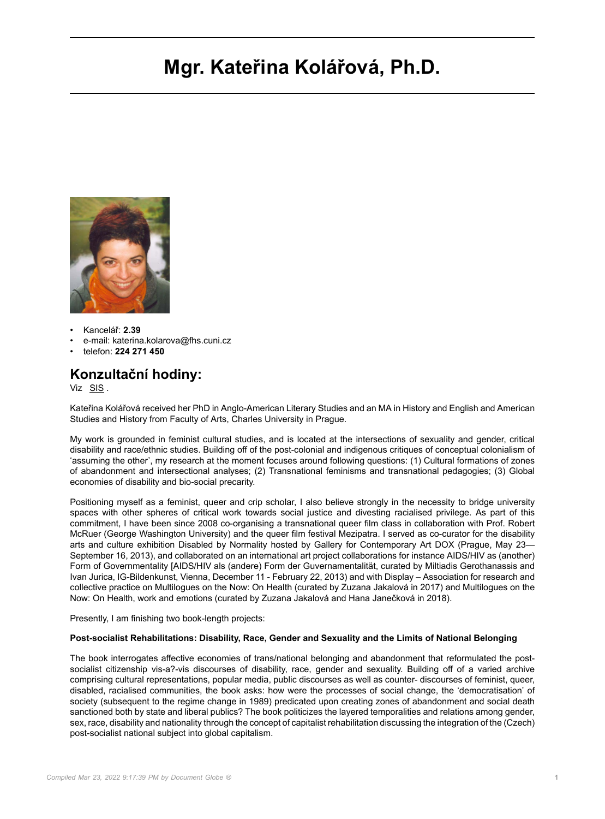# **Mgr. Kateřina Kolářová, Ph.D.**



- Kancelář: **2.39**
- e-mail: katerina.kolarova@fhs.cuni.cz
- telefon: **224 271 450**

## **Konzultační hodiny:**

Viz [SIS](https://is.cuni.cz/studium/kdojekdo/index.php?do=detailuc&kuc=14752) .

Kateřina Kolářová received her PhD in Anglo-American Literary Studies and an MA in History and English and American Studies and History from Faculty of Arts, Charles University in Prague.

My work is grounded in feminist cultural studies, and is located at the intersections of sexuality and gender, critical disability and race/ethnic studies. Building off of the post-colonial and indigenous critiques of conceptual colonialism of 'assuming the other', my research at the moment focuses around following questions: (1) Cultural formations of zones of abandonment and intersectional analyses; (2) Transnational feminisms and transnational pedagogies; (3) Global economies of disability and bio-social precarity.

Positioning myself as a feminist, queer and crip scholar, I also believe strongly in the necessity to bridge university spaces with other spheres of critical work towards social justice and divesting racialised privilege. As part of this commitment, I have been since 2008 co-organising a transnational queer film class in collaboration with Prof. Robert McRuer (George Washington University) and the queer film festival Mezipatra. I served as co-curator for the disability arts and culture exhibition Disabled by Normality hosted by Gallery for Contemporary Art DOX (Prague, May 23— September 16, 2013), and collaborated on an international art project collaborations for instance AIDS/HIV as (another) Form of Governmentality [AIDS/HIV als (andere) Form der Guvernamentalität, curated by Miltiadis Gerothanassis and Ivan Jurica, IG-Bildenkunst, Vienna, December 11 - February 22, 2013) and with Display – Association for research and collective practice on Multilogues on the Now: On Health (curated by Zuzana Jakalová in 2017) and Multilogues on the Now: On Health, work and emotions (curated by Zuzana Jakalová and Hana Janečková in 2018).

Presently, I am finishing two book-length projects:

#### **Post-socialist Rehabilitations: Disability, Race, Gender and Sexuality and the Limits of National Belonging**

The book interrogates affective economies of trans/national belonging and abandonment that reformulated the postsocialist citizenship vis-a?-vis discourses of disability, race, gender and sexuality. Building off of a varied archive comprising cultural representations, popular media, public discourses as well as counter- discourses of feminist, queer, disabled, racialised communities, the book asks: how were the processes of social change, the 'democratisation' of society (subsequent to the regime change in 1989) predicated upon creating zones of abandonment and social death sanctioned both by state and liberal publics? The book politicizes the layered temporalities and relations among gender, sex, race, disability and nationality through the concept of capitalist rehabilitation discussing the integration of the (Czech) post-socialist national subject into global capitalism.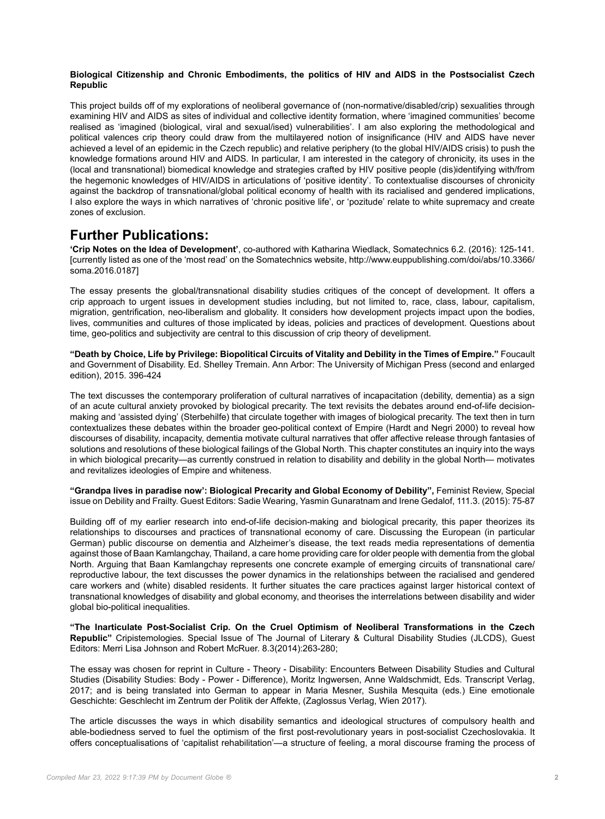#### **Biological Citizenship and Chronic Embodiments, the politics of HIV and AIDS in the Postsocialist Czech Republic**

This project builds off of my explorations of neoliberal governance of (non-normative/disabled/crip) sexualities through examining HIV and AIDS as sites of individual and collective identity formation, where 'imagined communities' become realised as 'imagined (biological, viral and sexual/ised) vulnerabilities'. I am also exploring the methodological and political valences crip theory could draw from the multilayered notion of insignificance (HIV and AIDS have never achieved a level of an epidemic in the Czech republic) and relative periphery (to the global HIV/AIDS crisis) to push the knowledge formations around HIV and AIDS. In particular, I am interested in the category of chronicity, its uses in the (local and transnational) biomedical knowledge and strategies crafted by HIV positive people (dis)identifying with/from the hegemonic knowledges of HIV/AIDS in articulations of 'positive identity'. To contextualise discourses of chronicity against the backdrop of transnational/global political economy of health with its racialised and gendered implications, I also explore the ways in which narratives of 'chronic positive life', or 'pozitude' relate to white supremacy and create zones of exclusion.

## **Further Publications:**

**'Crip Notes on the Idea of Development'**, co-authored with Katharina Wiedlack, Somatechnics 6.2. (2016): 125-141. [currently listed as one of the 'most read' on the Somatechnics website, http://www.euppublishing.com/doi/abs/10.3366/ soma.2016.0187]

The essay presents the global/transnational disability studies critiques of the concept of development. It offers a crip approach to urgent issues in development studies including, but not limited to, race, class, labour, capitalism, migration, gentrification, neo-liberalism and globality. It considers how development projects impact upon the bodies, lives, communities and cultures of those implicated by ideas, policies and practices of development. Questions about time, geo-politics and subjectivity are central to this discussion of crip theory of develipment.

**"Death by Choice, Life by Privilege: Biopolitical Circuits of Vitality and Debility in the Times of Empire."** Foucault and Government of Disability. Ed. Shelley Tremain. Ann Arbor: The University of Michigan Press (second and enlarged edition), 2015. 396-424

The text discusses the contemporary proliferation of cultural narratives of incapacitation (debility, dementia) as a sign of an acute cultural anxiety provoked by biological precarity. The text revisits the debates around end-of-life decisionmaking and 'assisted dying' (Sterbehilfe) that circulate together with images of biological precarity. The text then in turn contextualizes these debates within the broader geo-political context of Empire (Hardt and Negri 2000) to reveal how discourses of disability, incapacity, dementia motivate cultural narratives that offer affective release through fantasies of solutions and resolutions of these biological failings of the Global North. This chapter constitutes an inquiry into the ways in which biological precarity—as currently construed in relation to disability and debility in the global North— motivates and revitalizes ideologies of Empire and whiteness.

**"Grandpa lives in paradise now': Biological Precarity and Global Economy of Debility",** Feminist Review, Special issue on Debility and Frailty. Guest Editors: Sadie Wearing, Yasmin Gunaratnam and Irene Gedalof, 111.3. (2015): 75-87

Building off of my earlier research into end-of-life decision-making and biological precarity, this paper theorizes its relationships to discourses and practices of transnational economy of care. Discussing the European (in particular German) public discourse on dementia and Alzheimer's disease, the text reads media representations of dementia against those of Baan Kamlangchay, Thailand, a care home providing care for older people with dementia from the global North. Arguing that Baan Kamlangchay represents one concrete example of emerging circuits of transnational care/ reproductive labour, the text discusses the power dynamics in the relationships between the racialised and gendered care workers and (white) disabled residents. It further situates the care practices against larger historical context of transnational knowledges of disability and global economy, and theorises the interrelations between disability and wider global bio-political inequalities.

**"The Inarticulate Post-Socialist Crip. On the Cruel Optimism of Neoliberal Transformations in the Czech Republic"** Cripistemologies. Special Issue of The Journal of Literary & Cultural Disability Studies (JLCDS), Guest Editors: Merri Lisa Johnson and Robert McRuer. 8.3(2014):263-280;

The essay was chosen for reprint in Culture - Theory - Disability: Encounters Between Disability Studies and Cultural Studies (Disability Studies: Body - Power - Difference), Moritz Ingwersen, Anne Waldschmidt, Eds. Transcript Verlag, 2017; and is being translated into German to appear in Maria Mesner, Sushila Mesquita (eds.) Eine emotionale Geschichte: Geschlecht im Zentrum der Politik der Affekte, (Zaglossus Verlag, Wien 2017).

The article discusses the ways in which disability semantics and ideological structures of compulsory health and able-bodiedness served to fuel the optimism of the first post-revolutionary years in post-socialist Czechoslovakia. It offers conceptualisations of 'capitalist rehabilitation'—a structure of feeling, a moral discourse framing the process of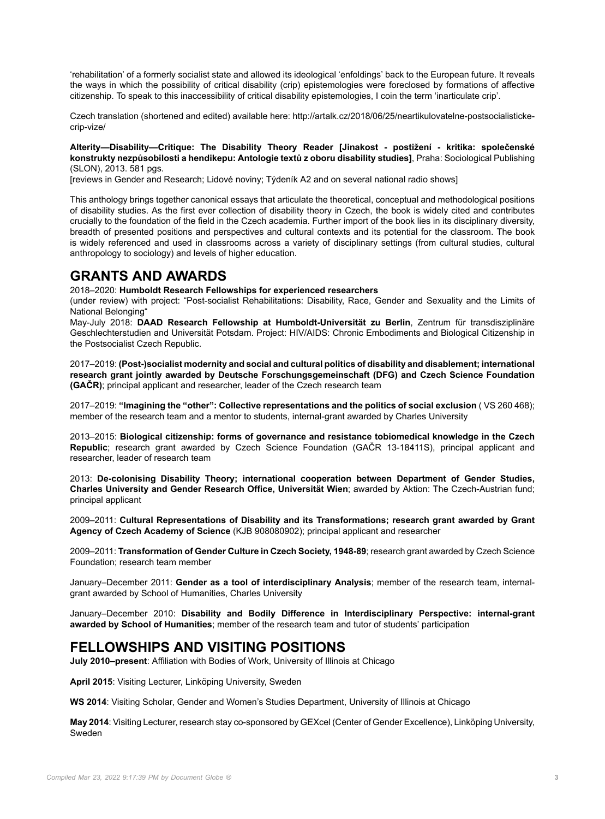'rehabilitation' of a formerly socialist state and allowed its ideological 'enfoldings' back to the European future. It reveals the ways in which the possibility of critical disability (crip) epistemologies were foreclosed by formations of affective citizenship. To speak to this inaccessibility of critical disability epistemologies, I coin the term 'inarticulate crip'.

Czech translation (shortened and edited) available here: http://artalk.cz/2018/06/25/neartikulovatelne-postsocialistickecrip-vize/

**Alterity—Disability—Critique: The Disability Theory Reader [Jinakost - postižení - kritika: společenské konstrukty nezpůsobilosti a hendikepu: Antologie textů z oboru disability studies]**, Praha: Sociological Publishing (SLON), 2013. 581 pgs.

[reviews in Gender and Research; Lidové noviny; Týdeník A2 and on several national radio shows]

This anthology brings together canonical essays that articulate the theoretical, conceptual and methodological positions of disability studies. As the first ever collection of disability theory in Czech, the book is widely cited and contributes crucially to the foundation of the field in the Czech academia. Further import of the book lies in its disciplinary diversity, breadth of presented positions and perspectives and cultural contexts and its potential for the classroom. The book is widely referenced and used in classrooms across a variety of disciplinary settings (from cultural studies, cultural anthropology to sociology) and levels of higher education.

# **GRANTS AND AWARDS**

2018–2020: **Humboldt Research Fellowships for experienced researchers**

(under review) with project: "Post-socialist Rehabilitations: Disability, Race, Gender and Sexuality and the Limits of National Belonging"

May-July 2018: **DAAD Research Fellowship at Humboldt-Universität zu Berlin**, Zentrum für transdisziplinäre Geschlechterstudien and Universität Potsdam. Project: HIV/AIDS: Chronic Embodiments and Biological Citizenship in the Postsocialist Czech Republic.

2017–2019: **(Post-)socialist modernity and social and cultural politics of disability and disablement; international research grant jointly awarded by Deutsche Forschungsgemeinschaft (DFG) and Czech Science Foundation (GAČR)**; principal applicant and researcher, leader of the Czech research team

2017–2019: **"Imagining the "other": Collective representations and the politics of social exclusion** ( VS 260 468); member of the research team and a mentor to students, internal-grant awarded by Charles University

2013–2015: **Biological citizenship: forms of governance and resistance tobiomedical knowledge in the Czech Republic**; research grant awarded by Czech Science Foundation (GAČR 13-18411S), principal applicant and researcher, leader of research team

2013: **De-colonising Disability Theory; international cooperation between Department of Gender Studies, Charles University and Gender Research Office, Universität Wien**; awarded by Aktion: The Czech-Austrian fund; principal applicant

2009–2011: **Cultural Representations of Disability and its Transformations; research grant awarded by Grant Agency of Czech Academy of Science** (KJB 908080902); principal applicant and researcher

2009–2011: **Transformation of Gender Culture in Czech Society, 1948-89**; research grant awarded by Czech Science Foundation; research team member

January–December 2011: **Gender as a tool of interdisciplinary Analysis**; member of the research team, internalgrant awarded by School of Humanities, Charles University

January–December 2010: **Disability and Bodily Difference in Interdisciplinary Perspective: internal-grant awarded by School of Humanities**; member of the research team and tutor of students' participation

## **FELLOWSHIPS AND VISITING POSITIONS**

**July 2010–present**: Affiliation with Bodies of Work, University of Illinois at Chicago

**April 2015**: Visiting Lecturer, Linköping University, Sweden

**WS 2014**: Visiting Scholar, Gender and Women's Studies Department, University of Illinois at Chicago

**May 2014**: Visiting Lecturer, research stay co-sponsored by GEXcel (Center of Gender Excellence), Linköping University, Sweden